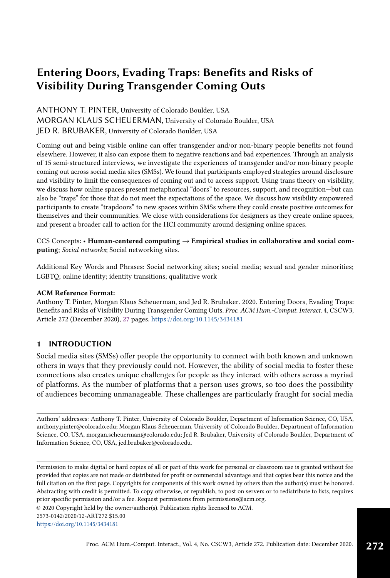# Entering Doors, Evading Traps: Benefits and Risks of Visibility During Transgender Coming Outs

# ANTHONY T. PINTER, University of Colorado Boulder, USA MORGAN KLAUS SCHEUERMAN, University of Colorado Boulder, USA JED R. BRUBAKER, University of Colorado Boulder, USA

Coming out and being visible online can offer transgender and/or non-binary people benefits not found elsewhere. However, it also can expose them to negative reactions and bad experiences. Through an analysis of 15 semi-structured interviews, we investigate the experiences of transgender and/or non-binary people coming out across social media sites (SMSs). We found that participants employed strategies around disclosure and visibility to limit the consequences of coming out and to access support. Using trans theory on visibility, we discuss how online spaces present metaphorical "doors" to resources, support, and recognition—but can also be "traps" for those that do not meet the expectations of the space. We discuss how visibility empowered participants to create "trapdoors" to new spaces within SMSs where they could create positive outcomes for themselves and their communities. We close with considerations for designers as they create online spaces, and present a broader call to action for the HCI community around designing online spaces.

# CCS Concepts: • Human-centered computing  $\rightarrow$  Empirical studies in collaborative and social computing; Social networks; Social networking sites.

Additional Key Words and Phrases: Social networking sites; social media; sexual and gender minorities; LGBTQ; online identity; identity transitions; qualitative work

## ACM Reference Format:

Anthony T. Pinter, Morgan Klaus Scheuerman, and Jed R. Brubaker. 2020. Entering Doors, Evading Traps: Benefits and Risks of Visibility During Transgender Coming Outs. Proc. ACM Hum.-Comput. Interact. 4, CSCW3, Article 272 (December 2020), [27](#page-26-0) pages. <https://doi.org/10.1145/3434181>

# 1 INTRODUCTION

Social media sites (SMSs) offer people the opportunity to connect with both known and unknown others in ways that they previously could not. However, the ability of social media to foster these connections also creates unique challenges for people as they interact with others across a myriad of platforms. As the number of platforms that a person uses grows, so too does the possibility of audiences becoming unmanageable. These challenges are particularly fraught for social media

Authors' addresses: Anthony T. Pinter, University of Colorado Boulder, Department of Information Science, CO, USA, anthony.pinter@colorado.edu; Morgan Klaus Scheuerman, University of Colorado Boulder, Department of Information Science, CO, USA, morgan.scheuerman@colorado.edu; Jed R. Brubaker, University of Colorado Boulder, Department of Information Science, CO, USA, jed.brubaker@colorado.edu.

Permission to make digital or hard copies of all or part of this work for personal or classroom use is granted without fee provided that copies are not made or distributed for profit or commercial advantage and that copies bear this notice and the full citation on the first page. Copyrights for components of this work owned by others than the author(s) must be honored. Abstracting with credit is permitted. To copy otherwise, or republish, to post on servers or to redistribute to lists, requires prior specific permission and/or a fee. Request permissions from permissions@acm.org.

© 2020 Copyright held by the owner/author(s). Publication rights licensed to ACM.

2573-0142/2020/12-ART272 \$15.00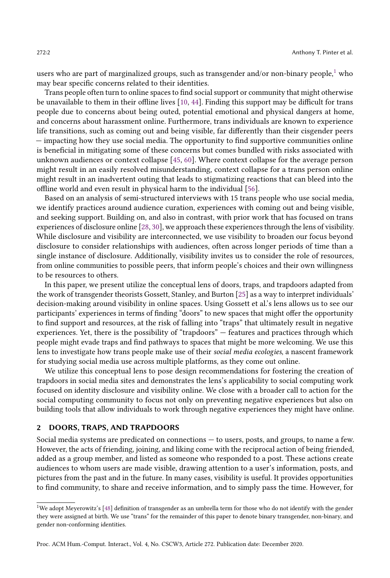users who are part of marginalized groups, such as transgender and/or non-binary people,<sup>[1](#page-1-0)</sup> who may bear specific concerns related to their identities.

Trans people often turn to online spaces to find social support or community that might otherwise be unavailable to them in their offline lives [\[10,](#page-24-0) [44\]](#page-25-0). Finding this support may be difficult for trans people due to concerns about being outed, potential emotional and physical dangers at home, and concerns about harassment online. Furthermore, trans individuals are known to experience life transitions, such as coming out and being visible, far differently than their cisgender peers — impacting how they use social media. The opportunity to find supportive communities online is beneficial in mitigating some of these concerns but comes bundled with risks associated with unknown audiences or context collapse [\[45,](#page-25-1) [60\]](#page-26-1). Where context collapse for the average person might result in an easily resolved misunderstanding, context collapse for a trans person online might result in an inadvertent outing that leads to stigmatizing reactions that can bleed into the offline world and even result in physical harm to the individual [\[56\]](#page-26-2).

Based on an analysis of semi-structured interviews with 15 trans people who use social media, we identify practices around audience curation, experiences with coming out and being visible, and seeking support. Building on, and also in contrast, with prior work that has focused on trans experiences of disclosure online [\[28,](#page-25-2) [30\]](#page-25-3), we approach these experiences through the lens of visibility. While disclosure and visibility are interconnected, we use visibility to broaden our focus beyond disclosure to consider relationships with audiences, often across longer periods of time than a single instance of disclosure. Additionally, visibility invites us to consider the role of resources, from online communities to possible peers, that inform people's choices and their own willingness to be resources to others.

In this paper, we present utilize the conceptual lens of doors, traps, and trapdoors adapted from the work of transgender theorists Gossett, Stanley, and Burton [\[25\]](#page-24-1) as a way to interpret individuals' decision-making around visibility in online spaces. Using Gossett et al.'s lens allows us to see our participants' experiences in terms of finding "doors" to new spaces that might offer the opportunity to find support and resources, at the risk of falling into "traps" that ultimately result in negative experiences. Yet, there is the possibility of "trapdoors" — features and practices through which people might evade traps and find pathways to spaces that might be more welcoming. We use this lens to investigate how trans people make use of their social media ecologies, a nascent framework for studying social media use across multiple platforms, as they come out online.

We utilize this conceptual lens to pose design recommendations for fostering the creation of trapdoors in social media sites and demonstrates the lens's applicability to social computing work focused on identity disclosure and visibility online. We close with a broader call to action for the social computing community to focus not only on preventing negative experiences but also on building tools that allow individuals to work through negative experiences they might have online.

#### 2 DOORS, TRAPS, AND TRAPDOORS

Social media systems are predicated on connections — to users, posts, and groups, to name a few. However, the acts of friending, joining, and liking come with the reciprocal action of being friended, added as a group member, and listed as someone who responded to a post. These actions create audiences to whom users are made visible, drawing attention to a user's information, posts, and pictures from the past and in the future. In many cases, visibility is useful. It provides opportunities to find community, to share and receive information, and to simply pass the time. However, for

<span id="page-1-0"></span> $^1\rm{We}$  adopt Meyerowitz's [\[48\]](#page-25-4) definition of transgender as an umbrella term for those who do not identify with the gender they were assigned at birth. We use "trans" for the remainder of this paper to denote binary transgender, non-binary, and gender non-conforming identities.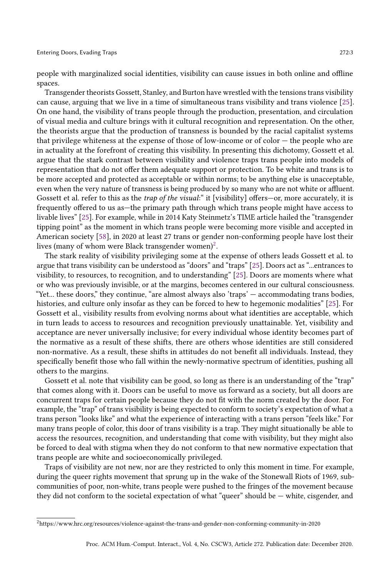people with marginalized social identities, visibility can cause issues in both online and offline spaces.

Transgender theorists Gossett, Stanley, and Burton have wrestled with the tensions trans visibility can cause, arguing that we live in a time of simultaneous trans visibility and trans violence [\[25\]](#page-24-1). On one hand, the visibility of trans people through the production, presentation, and circulation of visual media and culture brings with it cultural recognition and representation. On the other, the theorists argue that the production of transness is bounded by the racial capitalist systems that privilege whiteness at the expense of those of low-income or of color — the people who are in actuality at the forefront of creating this visibility. In presenting this dichotomy, Gossett et al. argue that the stark contrast between visibility and violence traps trans people into models of representation that do not offer them adequate support or protection. To be white and trans is to be more accepted and protected as acceptable or within norms; to be anything else is unacceptable, even when the very nature of transness is being produced by so many who are not white or affluent. Gossett et al. refer to this as the *trap of the visual*: " it [visibility] offers—or, more accurately, it is frequently offered to us as—the primary path through which trans people might have access to livable lives" [\[25\]](#page-24-1). For example, while in 2014 Katy Steinmetz's TIME article hailed the "transgender tipping point" as the moment in which trans people were becoming more visible and accepted in American society [\[58\]](#page-26-3), in 2020 at least 27 trans or gender non-conforming people have lost their lives (many of whom were Black transgender women)<sup>[2](#page-2-0)</sup>.

The stark reality of visibility privileging some at the expense of others leads Gossett et al. to argue that trans visibility can be understood as "doors" and "traps" [\[25\]](#page-24-1). Doors act as "...entrances to visibility, to resources, to recognition, and to understanding" [\[25\]](#page-24-1). Doors are moments where what or who was previously invisible, or at the margins, becomes centered in our cultural consciousness. "Yet... these doors," they continue, "are almost always also 'traps' — accommodating trans bodies, histories, and culture only insofar as they can be forced to hew to hegemonic modalities" [\[25\]](#page-24-1). For Gossett et al., visibility results from evolving norms about what identities are acceptable, which in turn leads to access to resources and recognition previously unattainable. Yet, visibility and acceptance are never universally inclusive; for every individual whose identity becomes part of the normative as a result of these shifts, there are others whose identities are still considered non-normative. As a result, these shifts in attitudes do not benefit all individuals. Instead, they specifically benefit those who fall within the newly-normative spectrum of identities, pushing all others to the margins.

Gossett et al. note that visibility can be good, so long as there is an understanding of the "trap" that comes along with it. Doors can be useful to move us forward as a society, but all doors are concurrent traps for certain people because they do not fit with the norm created by the door. For example, the "trap" of trans visibility is being expected to conform to society's expectation of what a trans person "looks like" and what the experience of interacting with a trans person "feels like." For many trans people of color, this door of trans visibility is a trap. They might situationally be able to access the resources, recognition, and understanding that come with visibility, but they might also be forced to deal with stigma when they do not conform to that new normative expectation that trans people are white and socioeconomically privileged.

Traps of visibility are not new, nor are they restricted to only this moment in time. For example, during the queer rights movement that sprung up in the wake of the Stonewall Riots of 1969, subcommunities of poor, non-white, trans people were pushed to the fringes of the movement because they did not conform to the societal expectation of what "queer" should be — white, cisgender, and

<span id="page-2-0"></span> $^2$ https://www.hrc.org/resources/violence-against-the-trans-and-gender-non-conforming-community-in-2020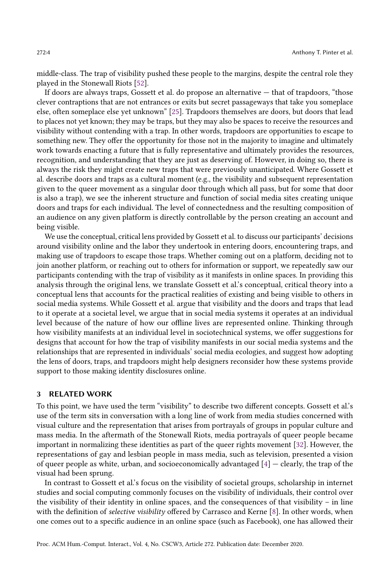middle-class. The trap of visibility pushed these people to the margins, despite the central role they played in the Stonewall Riots [\[52\]](#page-26-4).

If doors are always traps, Gossett et al. do propose an alternative — that of trapdoors, "those clever contraptions that are not entrances or exits but secret passageways that take you someplace else, often someplace else yet unknown" [\[25\]](#page-24-1). Trapdoors themselves are doors, but doors that lead to places not yet known; they may be traps, but they may also be spaces to receive the resources and visibility without contending with a trap. In other words, trapdoors are opportunities to escape to something new. They offer the opportunity for those not in the majority to imagine and ultimately work towards enacting a future that is fully representative and ultimately provides the resources, recognition, and understanding that they are just as deserving of. However, in doing so, there is always the risk they might create new traps that were previously unanticipated. Where Gossett et al. describe doors and traps as a cultural moment (e.g., the visibility and subsequent representation given to the queer movement as a singular door through which all pass, but for some that door is also a trap), we see the inherent structure and function of social media sites creating unique doors and traps for each individual. The level of connectedness and the resulting composition of an audience on any given platform is directly controllable by the person creating an account and being visible.

We use the conceptual, critical lens provided by Gossett et al. to discuss our participants' decisions around visibility online and the labor they undertook in entering doors, encountering traps, and making use of trapdoors to escape those traps. Whether coming out on a platform, deciding not to join another platform, or reaching out to others for information or support, we repeatedly saw our participants contending with the trap of visibility as it manifests in online spaces. In providing this analysis through the original lens, we translate Gossett et al.'s conceptual, critical theory into a conceptual lens that accounts for the practical realities of existing and being visible to others in social media systems. While Gossett et al. argue that visibility and the doors and traps that lead to it operate at a societal level, we argue that in social media systems it operates at an individual level because of the nature of how our offline lives are represented online. Thinking through how visibility manifests at an individual level in sociotechnical systems, we offer suggestions for designs that account for how the trap of visibility manifests in our social media systems and the relationships that are represented in individuals' social media ecologies, and suggest how adopting the lens of doors, traps, and trapdoors might help designers reconsider how these systems provide support to those making identity disclosures online.

# 3 RELATED WORK

To this point, we have used the term "visibility" to describe two different concepts. Gossett et al.'s use of the term sits in conversation with a long line of work from media studies concerned with visual culture and the representation that arises from portrayals of groups in popular culture and mass media. In the aftermath of the Stonewall Riots, media portrayals of queer people became important in normalizing these identities as part of the queer rights movement [\[32\]](#page-25-5). However, the representations of gay and lesbian people in mass media, such as television, presented a vision of queer people as white, urban, and socioeconomically advantaged  $[4]$  — clearly, the trap of the visual had been sprung.

In contrast to Gossett et al.'s focus on the visibility of societal groups, scholarship in internet studies and social computing commonly focuses on the visibility of individuals, their control over the visibility of their identity in online spaces, and the consequences of that visibility – in line with the definition of *selective visibility* offered by Carrasco and Kerne [\[8\]](#page-24-2). In other words, when one comes out to a specific audience in an online space (such as Facebook), one has allowed their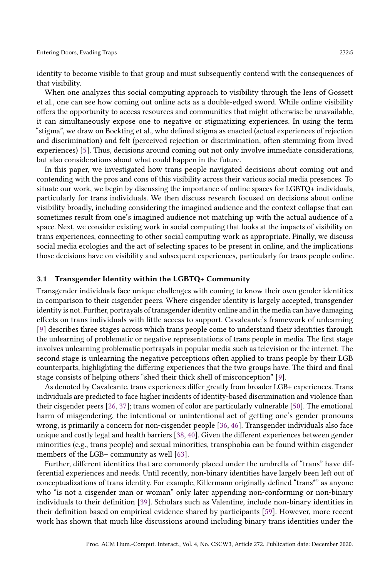identity to become visible to that group and must subsequently contend with the consequences of that visibility.

When one analyzes this social computing approach to visibility through the lens of Gossett et al., one can see how coming out online acts as a double-edged sword. While online visibility offers the opportunity to access resources and communities that might otherwise be unavailable, it can simultaneously expose one to negative or stigmatizing experiences. In using the term "stigma", we draw on Bockting et al., who defined stigma as enacted (actual experiences of rejection and discrimination) and felt (perceived rejection or discrimination, often stemming from lived experiences) [\[5\]](#page-24-3). Thus, decisions around coming out not only involve immediate considerations, but also considerations about what could happen in the future.

In this paper, we investigated how trans people navigated decisions about coming out and contending with the pros and cons of this visibility across their various social media presences. To situate our work, we begin by discussing the importance of online spaces for LGBTQ+ individuals, particularly for trans individuals. We then discuss research focused on decisions about online visibility broadly, including considering the imagined audience and the context collapse that can sometimes result from one's imagined audience not matching up with the actual audience of a space. Next, we consider existing work in social computing that looks at the impacts of visibility on trans experiences, connecting to other social computing work as appropriate. Finally, we discuss social media ecologies and the act of selecting spaces to be present in online, and the implications those decisions have on visibility and subsequent experiences, particularly for trans people online.

#### 3.1 Transgender Identity within the LGBTQ+ Community

Transgender individuals face unique challenges with coming to know their own gender identities in comparison to their cisgender peers. Where cisgender identity is largely accepted, transgender identity is not. Further, portrayals of transgender identity online and in the media can have damaging effects on trans individuals with little access to support. Cavalcante's framework of unlearning [\[9\]](#page-24-4) describes three stages across which trans people come to understand their identities through the unlearning of problematic or negative representations of trans people in media. The first stage involves unlearning problematic portrayals in popular media such as television or the internet. The second stage is unlearning the negative perceptions often applied to trans people by their LGB counterparts, highlighting the differing experiences that the two groups have. The third and final stage consists of helping others "shed their thick shell of misconception" [\[9\]](#page-24-4).

As denoted by Cavalcante, trans experiences differ greatly from broader LGB+ experiences. Trans individuals are predicted to face higher incidents of identity-based discrimination and violence than their cisgender peers [\[26,](#page-24-5) [37\]](#page-25-6); trans women of color are particularly vulnerable [\[50\]](#page-26-5). The emotional harm of misgendering, the intentional or unintentional act of getting one's gender pronouns wrong, is primarily a concern for non-cisgender people [\[36,](#page-25-7) [46\]](#page-25-8). Transgender individuals also face unique and costly legal and health barriers [\[38,](#page-25-9) [40\]](#page-25-10). Given the different experiences between gender minorities (e.g., trans people) and sexual minorities, transphobia can be found within cisgender members of the LGB+ community as well [\[63\]](#page-26-6).

Further, different identities that are commonly placed under the umbrella of "trans" have differential experiences and needs. Until recently, non-binary identities have largely been left out of conceptualizations of trans identity. For example, Killermann originally defined "trans\*" as anyone who "is not a cisgender man or woman" only later appending non-conforming or non-binary individuals to their definition [\[39\]](#page-25-11). Scholars such as Valentine, include non-binary identities in their definition based on empirical evidence shared by participants [\[59\]](#page-26-7). However, more recent work has shown that much like discussions around including binary trans identities under the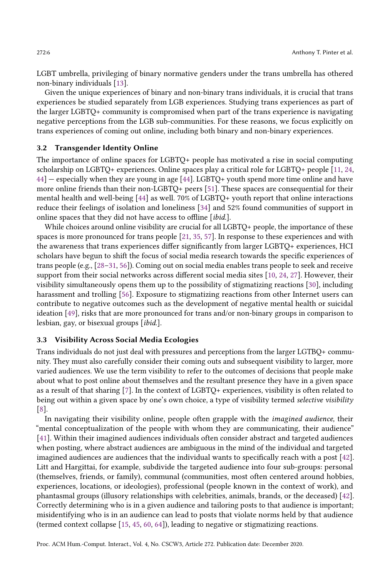LGBT umbrella, privileging of binary normative genders under the trans umbrella has othered non-binary individuals [\[13\]](#page-24-6).

Given the unique experiences of binary and non-binary trans individuals, it is crucial that trans experiences be studied separately from LGB experiences. Studying trans experiences as part of the larger LGBTQ+ community is compromised when part of the trans experience is navigating negative perceptions from the LGB sub-communities. For these reasons, we focus explicitly on trans experiences of coming out online, including both binary and non-binary experiences.

## 3.2 Transgender Identity Online

The importance of online spaces for LGBTQ+ people has motivated a rise in social computing scholarship on LGBTQ+ experiences. Online spaces play a critical role for LGBTQ+ people [\[11,](#page-24-7) [24,](#page-24-8) [44\]](#page-25-0) — especially when they are young in age [\[44\]](#page-25-0). LGBTQ+ youth spend more time online and have more online friends than their non-LGBTQ+ peers [\[51\]](#page-26-8). These spaces are consequential for their mental health and well-being [\[44\]](#page-25-0) as well. 70% of LGBTQ+ youth report that online interactions reduce their feelings of isolation and loneliness [\[34\]](#page-25-12) and 52% found communities of support in online spaces that they did not have access to offline [ibid.].

While choices around online visibility are crucial for all LGBTQ+ people, the importance of these spaces is more pronounced for trans people [\[21,](#page-24-9) [35,](#page-25-13) [57\]](#page-26-9). In response to these experiences and with the awareness that trans experiences differ significantly from larger LGBTQ+ experiences, HCI scholars have begun to shift the focus of social media research towards the specific experiences of trans people (e.g., [\[28–](#page-25-2)[31,](#page-25-14) [56\]](#page-26-2)). Coming out on social media enables trans people to seek and receive support from their social networks across different social media sites [\[10,](#page-24-0) [24,](#page-24-8) [27\]](#page-25-15). However, their visibility simultaneously opens them up to the possibility of stigmatizing reactions [\[30\]](#page-25-3), including harassment and trolling [\[56\]](#page-26-2). Exposure to stigmatizing reactions from other Internet users can contribute to negative outcomes such as the development of negative mental health or suicidal ideation [\[49\]](#page-25-16), risks that are more pronounced for trans and/or non-binary groups in comparison to lesbian, gay, or bisexual groups [ibid.].

#### 3.3 Visibility Across Social Media Ecologies

Trans individuals do not just deal with pressures and perceptions from the larger LGTBQ+ community. They must also carefully consider their coming outs and subsequent visibility to larger, more varied audiences. We use the term visibility to refer to the outcomes of decisions that people make about what to post online about themselves and the resultant presence they have in a given space as a result of that sharing [\[7\]](#page-24-10). In the context of LGBTQ+ experiences, visibility is often related to being out within a given space by one's own choice, a type of visibility termed selective visibility [\[8\]](#page-24-2).

In navigating their visibility online, people often grapple with the imagined audience, their "mental conceptualization of the people with whom they are communicating, their audience" [\[41\]](#page-25-17). Within their imagined audiences individuals often consider abstract and targeted audiences when posting, where abstract audiences are ambiguous in the mind of the individual and targeted imagined audiences are audiences that the individual wants to specifically reach with a post [\[42\]](#page-25-18). Litt and Hargittai, for example, subdivide the targeted audience into four sub-groups: personal (themselves, friends, or family), communal (communities, most often centered around hobbies, experiences, locations, or ideologies), professional (people known in the context of work), and phantasmal groups (illusory relationships with celebrities, animals, brands, or the deceased) [\[42\]](#page-25-18). Correctly determining who is in a given audience and tailoring posts to that audience is important; misidentifying who is in an audience can lead to posts that violate norms held by that audience (termed context collapse [\[15,](#page-24-11) [45,](#page-25-1) [60,](#page-26-1) [64\]](#page-26-10)), leading to negative or stigmatizing reactions.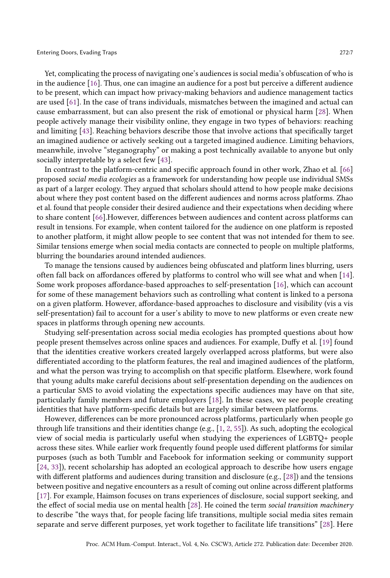in the audience [\[16\]](#page-24-12). Thus, one can imagine an audience for a post but perceive a different audience to be present, which can impact how privacy-making behaviors and audience management tactics are used [\[61\]](#page-26-11). In the case of trans individuals, mismatches between the imagined and actual can cause embarrassment, but can also present the risk of emotional or physical harm [\[28\]](#page-25-2). When people actively manage their visibility online, they engage in two types of behaviors: reaching and limiting [\[43\]](#page-25-19). Reaching behaviors describe those that involve actions that specifically target an imagined audience or actively seeking out a targeted imagined audience. Limiting behaviors, meanwhile, involve "steganography" or making a post technically available to anyone but only socially interpretable by a select few [\[43\]](#page-25-19).

In contrast to the platform-centric and specific approach found in other work, Zhao et al. [\[66\]](#page-26-12) proposed social media ecologies as a framework for understanding how people use individual SMSs as part of a larger ecology. They argued that scholars should attend to how people make decisions about where they post content based on the different audiences and norms across platforms. Zhao et al. found that people consider their desired audience and their expectations when deciding where to share content [\[66\]](#page-26-12).However, differences between audiences and content across platforms can result in tensions. For example, when content tailored for the audience on one platform is reposted to another platform, it might allow people to see content that was not intended for them to see. Similar tensions emerge when social media contacts are connected to people on multiple platforms, blurring the boundaries around intended audiences.

To manage the tensions caused by audiences being obfuscated and platform lines blurring, users often fall back on affordances offered by platforms to control who will see what and when [\[14\]](#page-24-13). Some work proposes affordance-based approaches to self-presentation [\[16\]](#page-24-12), which can account for some of these management behaviors such as controlling what content is linked to a persona on a given platform. However, affordance-based approaches to disclosure and visibility (vis a vis self-presentation) fail to account for a user's ability to move to new platforms or even create new spaces in platforms through opening new accounts.

Studying self-presentation across social media ecologies has prompted questions about how people present themselves across online spaces and audiences. For example, Duffy et al. [\[19\]](#page-24-14) found that the identities creative workers created largely overlapped across platforms, but were also differentiated according to the platform features, the real and imagined audiences of the platform, and what the person was trying to accomplish on that specific platform. Elsewhere, work found that young adults make careful decisions about self-presentation depending on the audiences on a particular SMS to avoid violating the expectations specific audiences may have on that site, particularly family members and future employers [\[18\]](#page-24-15). In these cases, we see people creating identities that have platform-specific details but are largely similar between platforms.

However, differences can be more pronounced across platforms, particularly when people go through life transitions and their identities change (e.g., [\[1,](#page-23-1) [2,](#page-23-2) [55\]](#page-26-13)). As such, adopting the ecological view of social media is particularly useful when studying the experiences of LGBTQ+ people across these sites. While earlier work frequently found people used different platforms for similar purposes (such as both Tumblr and Facebook for information seeking or community support [\[24,](#page-24-8) [33\]](#page-25-20)), recent scholarship has adopted an ecological approach to describe how users engage with different platforms and audiences during transition and disclosure (e.g., [\[28\]](#page-25-2)) and the tensions between positive and negative encounters as a result of coming out online across different platforms [\[17\]](#page-24-16). For example, Haimson focuses on trans experiences of disclosure, social support seeking, and the effect of social media use on mental health [\[28\]](#page-25-2). He coined the term social transition machinery to describe "the ways that, for people facing life transitions, multiple social media sites remain separate and serve different purposes, yet work together to facilitate life transitions" [\[28\]](#page-25-2). Here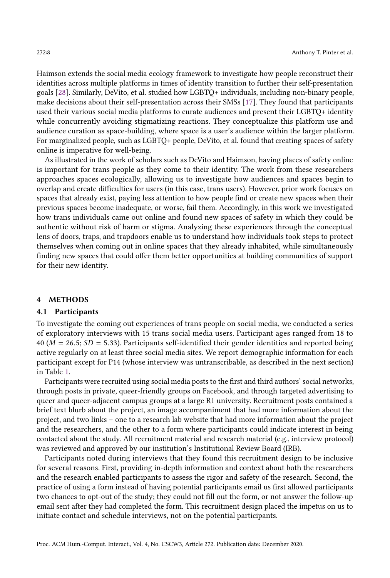Haimson extends the social media ecology framework to investigate how people reconstruct their identities across multiple platforms in times of identity transition to further their self-presentation goals [\[28\]](#page-25-2). Similarly, DeVito, et al. studied how LGBTQ+ individuals, including non-binary people, make decisions about their self-presentation across their SMSs [\[17\]](#page-24-16). They found that participants used their various social media platforms to curate audiences and present their LGBTQ+ identity while concurrently avoiding stigmatizing reactions. They conceptualize this platform use and audience curation as space-building, where space is a user's audience within the larger platform. For marginalized people, such as LGBTQ+ people, DeVito, et al. found that creating spaces of safety online is imperative for well-being.

As illustrated in the work of scholars such as DeVito and Haimson, having places of safety online is important for trans people as they come to their identity. The work from these researchers approaches spaces ecologically, allowing us to investigate how audiences and spaces begin to overlap and create difficulties for users (in this case, trans users). However, prior work focuses on spaces that already exist, paying less attention to how people find or create new spaces when their previous spaces become inadequate, or worse, fail them. Accordingly, in this work we investigated how trans individuals came out online and found new spaces of safety in which they could be authentic without risk of harm or stigma. Analyzing these experiences through the conceptual lens of doors, traps, and trapdoors enable us to understand how individuals took steps to protect themselves when coming out in online spaces that they already inhabited, while simultaneously finding new spaces that could offer them better opportunities at building communities of support for their new identity.

#### 4 METHODS

#### 4.1 Participants

To investigate the coming out experiences of trans people on social media, we conducted a series of exploratory interviews with 15 trans social media users. Participant ages ranged from 18 to 40 ( $M = 26.5$ ;  $SD = 5.33$ ). Participants self-identified their gender identities and reported being active regularly on at least three social media sites. We report demographic information for each participant except for P14 (whose interview was untranscribable, as described in the next section) in Table [1.](#page-8-0)

Participants were recruited using social media posts to the first and third authors' social networks, through posts in private, queer-friendly groups on Facebook, and through targeted advertising to queer and queer-adjacent campus groups at a large R1 university. Recruitment posts contained a brief text blurb about the project, an image accompaniment that had more information about the project, and two links – one to a research lab website that had more information about the project and the researchers, and the other to a form where participants could indicate interest in being contacted about the study. All recruitment material and research material (e.g., interview protocol) was reviewed and approved by our institution's Institutional Review Board (IRB).

Participants noted during interviews that they found this recruitment design to be inclusive for several reasons. First, providing in-depth information and context about both the researchers and the research enabled participants to assess the rigor and safety of the research. Second, the practice of using a form instead of having potential participants email us first allowed participants two chances to opt-out of the study; they could not fill out the form, or not answer the follow-up email sent after they had completed the form. This recruitment design placed the impetus on us to initiate contact and schedule interviews, not on the potential participants.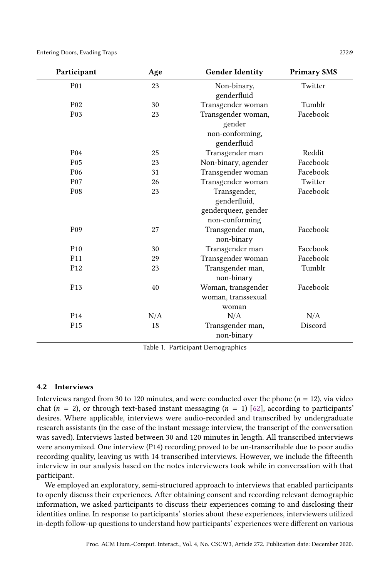Entering Doors, Evading Traps 272:9

<span id="page-8-0"></span>

| Participant      | Age | <b>Gender Identity</b>                                                | <b>Primary SMS</b> |  |
|------------------|-----|-----------------------------------------------------------------------|--------------------|--|
| <b>P01</b>       | 23  | Non-binary,<br>Twitter<br>genderfluid                                 |                    |  |
| P <sub>02</sub>  | 30  | Transgender woman                                                     | Tumblr             |  |
| P <sub>0</sub> 3 | 23  | Transgender woman,<br>gender<br>non-conforming,<br>genderfluid        | Facebook           |  |
| P <sub>04</sub>  | 25  | Transgender man                                                       | Reddit             |  |
| P <sub>05</sub>  | 23  | Non-binary, agender                                                   | Facebook           |  |
| P <sub>06</sub>  | 31  | Transgender woman                                                     | Facebook           |  |
| P <sub>07</sub>  | 26  | Transgender woman                                                     | Twitter            |  |
| P <sub>08</sub>  | 23  | Transgender,<br>genderfluid,<br>genderqueer, gender<br>non-conforming | Facebook           |  |
| P <sub>09</sub>  | 27  | Transgender man,<br>non-binary                                        | Facebook           |  |
| P <sub>10</sub>  | 30  | Transgender man                                                       | Facebook           |  |
| P <sub>11</sub>  | 29  | Transgender woman                                                     | Facebook           |  |
| P <sub>12</sub>  | 23  | Transgender man,<br>non-binary                                        | Tumblr             |  |
| P <sub>13</sub>  | 40  | Woman, transgender<br>woman, transsexual<br>woman                     | Facebook           |  |
| P <sub>14</sub>  | N/A | N/A                                                                   | N/A                |  |
| P <sub>15</sub>  | 18  | Transgender man,<br>non-binary                                        | Discord            |  |

Table 1. Participant Demographics

## 4.2 Interviews

Interviews ranged from 30 to 120 minutes, and were conducted over the phone  $(n = 12)$ , via video chat ( $n = 2$ ), or through text-based instant messaging ( $n = 1$ ) [\[62\]](#page-26-14), according to participants' desires. Where applicable, interviews were audio-recorded and transcribed by undergraduate research assistants (in the case of the instant message interview, the transcript of the conversation was saved). Interviews lasted between 30 and 120 minutes in length. All transcribed interviews were anonymized. One interview (P14) recording proved to be un-transcribable due to poor audio recording quality, leaving us with 14 transcribed interviews. However, we include the fifteenth interview in our analysis based on the notes interviewers took while in conversation with that participant.

We employed an exploratory, semi-structured approach to interviews that enabled participants to openly discuss their experiences. After obtaining consent and recording relevant demographic information, we asked participants to discuss their experiences coming to and disclosing their identities online. In response to participants' stories about these experiences, interviewers utilized in-depth follow-up questions to understand how participants' experiences were different on various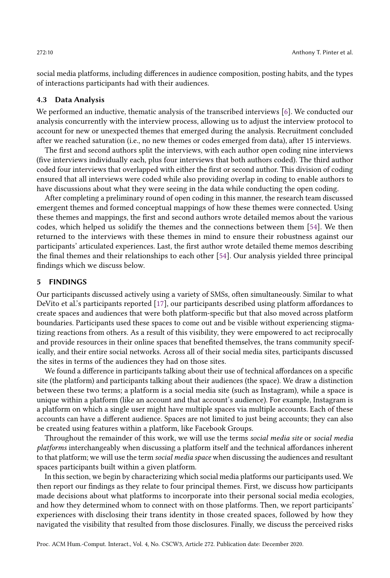social media platforms, including differences in audience composition, posting habits, and the types of interactions participants had with their audiences.

# 4.3 Data Analysis

We performed an inductive, thematic analysis of the transcribed interviews [\[6\]](#page-24-17). We conducted our analysis concurrently with the interview process, allowing us to adjust the interview protocol to account for new or unexpected themes that emerged during the analysis. Recruitment concluded after we reached saturation (i.e., no new themes or codes emerged from data), after 15 interviews.

The first and second authors split the interviews, with each author open coding nine interviews (five interviews individually each, plus four interviews that both authors coded). The third author coded four interviews that overlapped with either the first or second author. This division of coding ensured that all interviews were coded while also providing overlap in coding to enable authors to have discussions about what they were seeing in the data while conducting the open coding.

After completing a preliminary round of open coding in this manner, the research team discussed emergent themes and formed conceptual mappings of how these themes were connected. Using these themes and mappings, the first and second authors wrote detailed memos about the various codes, which helped us solidify the themes and the connections between them [\[54\]](#page-26-15). We then returned to the interviews with these themes in mind to ensure their robustness against our participants' articulated experiences. Last, the first author wrote detailed theme memos describing the final themes and their relationships to each other [\[54\]](#page-26-15). Our analysis yielded three principal findings which we discuss below.

#### 5 FINDINGS

Our participants discussed actively using a variety of SMSs, often simultaneously. Similar to what DeVito et al.'s participants reported [\[17\]](#page-24-16), our participants described using platform affordances to create spaces and audiences that were both platform-specific but that also moved across platform boundaries. Participants used these spaces to come out and be visible without experiencing stigmatizing reactions from others. As a result of this visibility, they were empowered to act reciprocally and provide resources in their online spaces that benefited themselves, the trans community specifically, and their entire social networks. Across all of their social media sites, participants discussed the sites in terms of the audiences they had on those sites.

We found a difference in participants talking about their use of technical affordances on a specific site (the platform) and participants talking about their audiences (the space). We draw a distinction between these two terms; a platform is a social media site (such as Instagram), while a space is unique within a platform (like an account and that account's audience). For example, Instagram is a platform on which a single user might have multiple spaces via multiple accounts. Each of these accounts can have a different audience. Spaces are not limited to just being accounts; they can also be created using features within a platform, like Facebook Groups.

Throughout the remainder of this work, we will use the terms social media site or social media platforms interchangeably when discussing a platform itself and the technical affordances inherent to that platform; we will use the term social media space when discussing the audiences and resultant spaces participants built within a given platform.

In this section, we begin by characterizing which social media platforms our participants used. We then report our findings as they relate to four principal themes. First, we discuss how participants made decisions about what platforms to incorporate into their personal social media ecologies, and how they determined whom to connect with on those platforms. Then, we report participants' experiences with disclosing their trans identity in those created spaces, followed by how they navigated the visibility that resulted from those disclosures. Finally, we discuss the perceived risks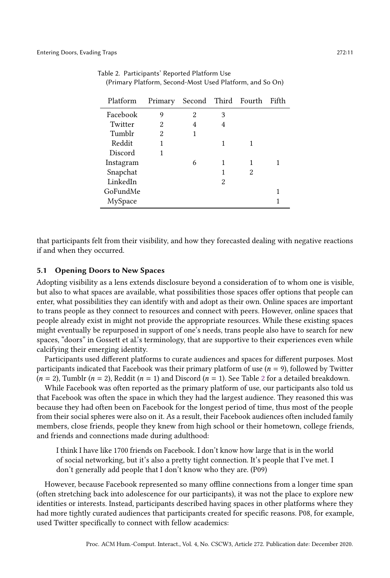| Platform  | Primary        |   |   | Second Third Fourth | Fifth |
|-----------|----------------|---|---|---------------------|-------|
| Facebook  | 9              | 2 | 3 |                     |       |
| Twitter   | 2              | 4 | 4 |                     |       |
| Tumblr    | $\overline{2}$ |   |   |                     |       |
| Reddit    | 1              |   | 1 |                     |       |
| Discord   |                |   |   |                     |       |
| Instagram |                | 6 | 1 | 1                   |       |
| Snapchat  |                |   | 1 | 2                   |       |
| LinkedIn  |                |   | 2 |                     |       |
| GoFundMe  |                |   |   |                     |       |
| MySpace   |                |   |   |                     |       |

<span id="page-10-0"></span>Table 2. Participants' Reported Platform Use (Primary Platform, Second-Most Used Platform, and So On)

that participants felt from their visibility, and how they forecasted dealing with negative reactions if and when they occurred.

## 5.1 Opening Doors to New Spaces

Adopting visibility as a lens extends disclosure beyond a consideration of to whom one is visible, but also to what spaces are available, what possibilities those spaces offer options that people can enter, what possibilities they can identify with and adopt as their own. Online spaces are important to trans people as they connect to resources and connect with peers. However, online spaces that people already exist in might not provide the appropriate resources. While these existing spaces might eventually be repurposed in support of one's needs, trans people also have to search for new spaces, "doors" in Gossett et al.'s terminology, that are supportive to their experiences even while calcifying their emerging identity.

Participants used different platforms to curate audiences and spaces for different purposes. Most participants indicated that Facebook was their primary platform of use  $(n = 9)$ , followed by Twitter  $(n = 2)$  $(n = 2)$  $(n = 2)$ , Tumblr  $(n = 2)$ , Reddit  $(n = 1)$  and Discord  $(n = 1)$ . See Table 2 for a detailed breakdown.

While Facebook was often reported as the primary platform of use, our participants also told us that Facebook was often the space in which they had the largest audience. They reasoned this was because they had often been on Facebook for the longest period of time, thus most of the people from their social spheres were also on it. As a result, their Facebook audiences often included family members, close friends, people they knew from high school or their hometown, college friends, and friends and connections made during adulthood:

I think I have like 1700 friends on Facebook. I don't know how large that is in the world of social networking, but it's also a pretty tight connection. It's people that I've met. I don't generally add people that I don't know who they are. (P09)

However, because Facebook represented so many offline connections from a longer time span (often stretching back into adolescence for our participants), it was not the place to explore new identities or interests. Instead, participants described having spaces in other platforms where they had more tightly curated audiences that participants created for specific reasons. P08, for example, used Twitter specifically to connect with fellow academics: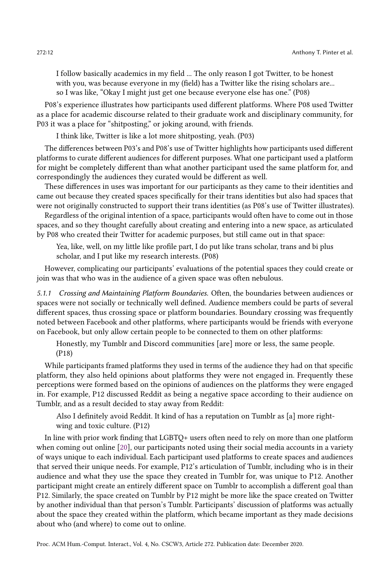I follow basically academics in my field ... The only reason I got Twitter, to be honest with you, was because everyone in my (field) has a Twitter like the rising scholars are... so I was like, "Okay I might just get one because everyone else has one." (P08)

P08's experience illustrates how participants used different platforms. Where P08 used Twitter as a place for academic discourse related to their graduate work and disciplinary community, for P03 it was a place for "shitposting," or joking around, with friends.

I think like, Twitter is like a lot more shitposting, yeah. (P03)

The differences between P03's and P08's use of Twitter highlights how participants used different platforms to curate different audiences for different purposes. What one participant used a platform for might be completely different than what another participant used the same platform for, and correspondingly the audiences they curated would be different as well.

These differences in uses was important for our participants as they came to their identities and came out because they created spaces specifically for their trans identities but also had spaces that were not originally constructed to support their trans identities (as P08's use of Twitter illustrates).

Regardless of the original intention of a space, participants would often have to come out in those spaces, and so they thought carefully about creating and entering into a new space, as articulated by P08 who created their Twitter for academic purposes, but still came out in that space:

Yea, like, well, on my little like profile part, I do put like trans scholar, trans and bi plus scholar, and I put like my research interests. (P08)

However, complicating our participants' evaluations of the potential spaces they could create or join was that who was in the audience of a given space was often nebulous.

5.1.1 Crossing and Maintaining Platform Boundaries. Often, the boundaries between audiences or spaces were not socially or technically well defined. Audience members could be parts of several different spaces, thus crossing space or platform boundaries. Boundary crossing was frequently noted between Facebook and other platforms, where participants would be friends with everyone on Facebook, but only allow certain people to be connected to them on other platforms:

Honestly, my Tumblr and Discord communities [are] more or less, the same people. (P18)

While participants framed platforms they used in terms of the audience they had on that specific platform, they also held opinions about platforms they were not engaged in. Frequently these perceptions were formed based on the opinions of audiences on the platforms they were engaged in. For example, P12 discussed Reddit as being a negative space according to their audience on Tumblr, and as a result decided to stay away from Reddit:

Also I definitely avoid Reddit. It kind of has a reputation on Tumblr as [a] more rightwing and toxic culture. (P12)

In line with prior work finding that LGBTQ+ users often need to rely on more than one platform when coming out online [\[20\]](#page-24-18), our participants noted using their social media accounts in a variety of ways unique to each individual. Each participant used platforms to create spaces and audiences that served their unique needs. For example, P12's articulation of Tumblr, including who is in their audience and what they use the space they created in Tumblr for, was unique to P12. Another participant might create an entirely different space on Tumblr to accomplish a different goal than P12. Similarly, the space created on Tumblr by P12 might be more like the space created on Twitter by another individual than that person's Tumblr. Participants' discussion of platforms was actually about the space they created within the platform, which became important as they made decisions about who (and where) to come out to online.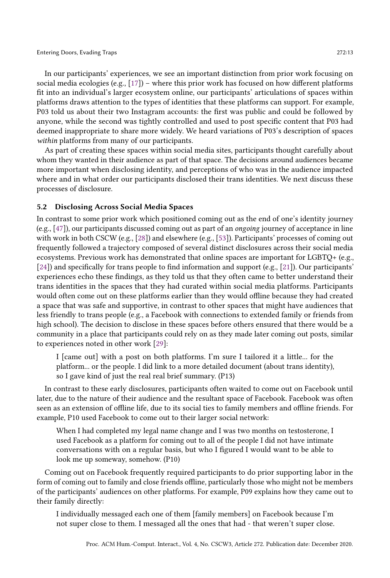In our participants' experiences, we see an important distinction from prior work focusing on social media ecologies (e.g., [\[17\]](#page-24-16)) – where this prior work has focused on how different platforms fit into an individual's larger ecosystem online, our participants' articulations of spaces within platforms draws attention to the types of identities that these platforms can support. For example, P03 told us about their two Instagram accounts: the first was public and could be followed by anyone, while the second was tightly controlled and used to post specific content that P03 had deemed inappropriate to share more widely. We heard variations of P03's description of spaces within platforms from many of our participants.

As part of creating these spaces within social media sites, participants thought carefully about whom they wanted in their audience as part of that space. The decisions around audiences became more important when disclosing identity, and perceptions of who was in the audience impacted where and in what order our participants disclosed their trans identities. We next discuss these processes of disclosure.

# 5.2 Disclosing Across Social Media Spaces

In contrast to some prior work which positioned coming out as the end of one's identity journey (e.g., [\[47\]](#page-25-21)), our participants discussed coming out as part of an ongoing journey of acceptance in line with work in both CSCW (e.g., [\[28\]](#page-25-2)) and elsewhere (e.g., [\[53\]](#page-26-16)). Participants' processes of coming out frequently followed a trajectory composed of several distinct disclosures across their social media ecosystems. Previous work has demonstrated that online spaces are important for LGBTQ+ (e.g., [\[24\]](#page-24-8)) and specifically for trans people to find information and support (e.g., [\[21\]](#page-24-9)). Our participants' experiences echo these findings, as they told us that they often came to better understand their trans identities in the spaces that they had curated within social media platforms. Participants would often come out on these platforms earlier than they would offline because they had created a space that was safe and supportive, in contrast to other spaces that might have audiences that less friendly to trans people (e.g., a Facebook with connections to extended family or friends from high school). The decision to disclose in these spaces before others ensured that there would be a community in a place that participants could rely on as they made later coming out posts, similar to experiences noted in other work [\[29\]](#page-25-22):

I [came out] with a post on both platforms. I'm sure I tailored it a little... for the platform... or the people. I did link to a more detailed document (about trans identity), so I gave kind of just the real real brief summary. (P13)

In contrast to these early disclosures, participants often waited to come out on Facebook until later, due to the nature of their audience and the resultant space of Facebook. Facebook was often seen as an extension of offline life, due to its social ties to family members and offline friends. For example, P10 used Facebook to come out to their larger social network:

When I had completed my legal name change and I was two months on testosterone, I used Facebook as a platform for coming out to all of the people I did not have intimate conversations with on a regular basis, but who I figured I would want to be able to look me up someway, somehow. (P10)

Coming out on Facebook frequently required participants to do prior supporting labor in the form of coming out to family and close friends offline, particularly those who might not be members of the participants' audiences on other platforms. For example, P09 explains how they came out to their family directly:

I individually messaged each one of them [family members] on Facebook because I'm not super close to them. I messaged all the ones that had - that weren't super close.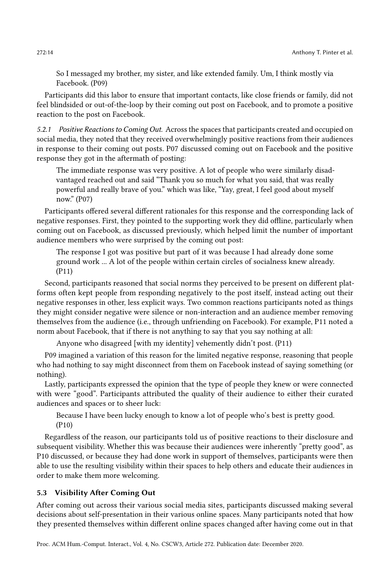So I messaged my brother, my sister, and like extended family. Um, I think mostly via Facebook. (P09)

Participants did this labor to ensure that important contacts, like close friends or family, did not feel blindsided or out-of-the-loop by their coming out post on Facebook, and to promote a positive reaction to the post on Facebook.

5.2.1 Positive Reactions to Coming Out. Across the spaces that participants created and occupied on social media, they noted that they received overwhelmingly positive reactions from their audiences in response to their coming out posts. P07 discussed coming out on Facebook and the positive response they got in the aftermath of posting:

The immediate response was very positive. A lot of people who were similarly disadvantaged reached out and said "Thank you so much for what you said, that was really powerful and really brave of you." which was like, "Yay, great, I feel good about myself now." (P07)

Participants offered several different rationales for this response and the corresponding lack of negative responses. First, they pointed to the supporting work they did offline, particularly when coming out on Facebook, as discussed previously, which helped limit the number of important audience members who were surprised by the coming out post:

The response I got was positive but part of it was because I had already done some ground work ... A lot of the people within certain circles of socialness knew already. (P11)

Second, participants reasoned that social norms they perceived to be present on different platforms often kept people from responding negatively to the post itself, instead acting out their negative responses in other, less explicit ways. Two common reactions participants noted as things they might consider negative were silence or non-interaction and an audience member removing themselves from the audience (i.e., through unfriending on Facebook). For example, P11 noted a norm about Facebook, that if there is not anything to say that you say nothing at all:

Anyone who disagreed [with my identity] vehemently didn't post. (P11)

P09 imagined a variation of this reason for the limited negative response, reasoning that people who had nothing to say might disconnect from them on Facebook instead of saying something (or nothing).

Lastly, participants expressed the opinion that the type of people they knew or were connected with were "good". Participants attributed the quality of their audience to either their curated audiences and spaces or to sheer luck:

Because I have been lucky enough to know a lot of people who's best is pretty good. (P10)

Regardless of the reason, our participants told us of positive reactions to their disclosure and subsequent visibility. Whether this was because their audiences were inherently "pretty good", as P10 discussed, or because they had done work in support of themselves, participants were then able to use the resulting visibility within their spaces to help others and educate their audiences in order to make them more welcoming.

# 5.3 Visibility After Coming Out

After coming out across their various social media sites, participants discussed making several decisions about self-presentation in their various online spaces. Many participants noted that how they presented themselves within different online spaces changed after having come out in that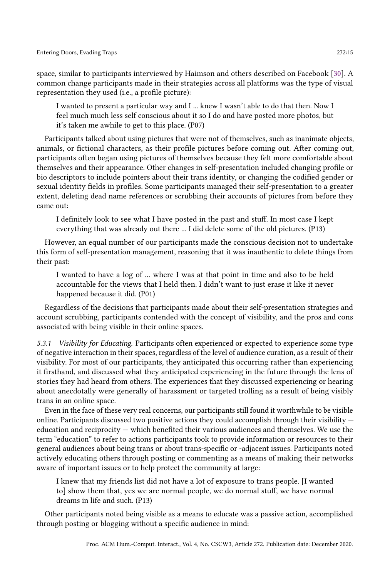space, similar to participants interviewed by Haimson and others described on Facebook [\[30\]](#page-25-3). A common change participants made in their strategies across all platforms was the type of visual representation they used (i.e., a profile picture):

I wanted to present a particular way and I ... knew I wasn't able to do that then. Now I feel much much less self conscious about it so I do and have posted more photos, but it's taken me awhile to get to this place. (P07)

Participants talked about using pictures that were not of themselves, such as inanimate objects, animals, or fictional characters, as their profile pictures before coming out. After coming out, participants often began using pictures of themselves because they felt more comfortable about themselves and their appearance. Other changes in self-presentation included changing profile or bio descriptors to include pointers about their trans identity, or changing the codified gender or sexual identity fields in profiles. Some participants managed their self-presentation to a greater extent, deleting dead name references or scrubbing their accounts of pictures from before they came out:

I definitely look to see what I have posted in the past and stuff. In most case I kept everything that was already out there ... I did delete some of the old pictures. (P13)

However, an equal number of our participants made the conscious decision not to undertake this form of self-presentation management, reasoning that it was inauthentic to delete things from their past:

I wanted to have a log of ... where I was at that point in time and also to be held accountable for the views that I held then. I didn't want to just erase it like it never happened because it did. (P01)

Regardless of the decisions that participants made about their self-presentation strategies and account scrubbing, participants contended with the concept of visibility, and the pros and cons associated with being visible in their online spaces.

5.3.1 Visibility for Educating. Participants often experienced or expected to experience some type of negative interaction in their spaces, regardless of the level of audience curation, as a result of their visibility. For most of our participants, they anticipated this occurring rather than experiencing it firsthand, and discussed what they anticipated experiencing in the future through the lens of stories they had heard from others. The experiences that they discussed experiencing or hearing about anecdotally were generally of harassment or targeted trolling as a result of being visibly trans in an online space.

Even in the face of these very real concerns, our participants still found it worthwhile to be visible online. Participants discussed two positive actions they could accomplish through their visibility  $$ education and reciprocity — which benefited their various audiences and themselves. We use the term "education" to refer to actions participants took to provide information or resources to their general audiences about being trans or about trans-specific or -adjacent issues. Participants noted actively educating others through posting or commenting as a means of making their networks aware of important issues or to help protect the community at large:

I knew that my friends list did not have a lot of exposure to trans people. [I wanted to] show them that, yes we are normal people, we do normal stuff, we have normal dreams in life and such. (P13)

Other participants noted being visible as a means to educate was a passive action, accomplished through posting or blogging without a specific audience in mind: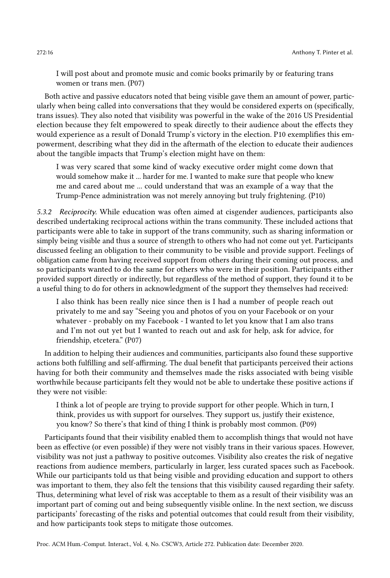I will post about and promote music and comic books primarily by or featuring trans women or trans men. (P07)

Both active and passive educators noted that being visible gave them an amount of power, particularly when being called into conversations that they would be considered experts on (specifically, trans issues). They also noted that visibility was powerful in the wake of the 2016 US Presidential election because they felt empowered to speak directly to their audience about the effects they would experience as a result of Donald Trump's victory in the election. P10 exemplifies this empowerment, describing what they did in the aftermath of the election to educate their audiences about the tangible impacts that Trump's election might have on them:

I was very scared that some kind of wacky executive order might come down that would somehow make it ... harder for me. I wanted to make sure that people who knew me and cared about me ... could understand that was an example of a way that the Trump-Pence administration was not merely annoying but truly frightening. (P10)

5.3.2 Reciprocity. While education was often aimed at cisgender audiences, participants also described undertaking reciprocal actions within the trans community. These included actions that participants were able to take in support of the trans community, such as sharing information or simply being visible and thus a source of strength to others who had not come out yet. Participants discussed feeling an obligation to their community to be visible and provide support. Feelings of obligation came from having received support from others during their coming out process, and so participants wanted to do the same for others who were in their position. Participants either provided support directly or indirectly, but regardless of the method of support, they found it to be a useful thing to do for others in acknowledgment of the support they themselves had received:

I also think has been really nice since then is I had a number of people reach out privately to me and say "Seeing you and photos of you on your Facebook or on your whatever - probably on my Facebook - I wanted to let you know that I am also trans and I'm not out yet but I wanted to reach out and ask for help, ask for advice, for friendship, etcetera." (P07)

In addition to helping their audiences and communities, participants also found these supportive actions both fulfilling and self-affirming. The dual benefit that participants perceived their actions having for both their community and themselves made the risks associated with being visible worthwhile because participants felt they would not be able to undertake these positive actions if they were not visible:

I think a lot of people are trying to provide support for other people. Which in turn, I think, provides us with support for ourselves. They support us, justify their existence, you know? So there's that kind of thing I think is probably most common. (P09)

Participants found that their visibility enabled them to accomplish things that would not have been as effective (or even possible) if they were not visibly trans in their various spaces. However, visibility was not just a pathway to positive outcomes. Visibility also creates the risk of negative reactions from audience members, particularly in larger, less curated spaces such as Facebook. While our participants told us that being visible and providing education and support to others was important to them, they also felt the tensions that this visibility caused regarding their safety. Thus, determining what level of risk was acceptable to them as a result of their visibility was an important part of coming out and being subsequently visible online. In the next section, we discuss participants' forecasting of the risks and potential outcomes that could result from their visibility, and how participants took steps to mitigate those outcomes.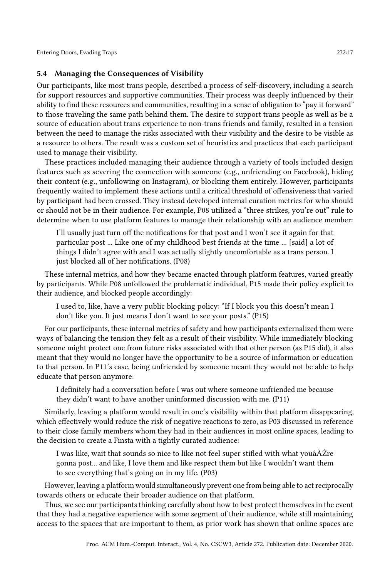## 5.4 Managing the Consequences of Visibility

Our participants, like most trans people, described a process of self-discovery, including a search for support resources and supportive communities. Their process was deeply influenced by their ability to find these resources and communities, resulting in a sense of obligation to "pay it forward" to those traveling the same path behind them. The desire to support trans people as well as be a source of education about trans experience to non-trans friends and family, resulted in a tension between the need to manage the risks associated with their visibility and the desire to be visible as a resource to others. The result was a custom set of heuristics and practices that each participant used to manage their visibility.

These practices included managing their audience through a variety of tools included design features such as severing the connection with someone (e.g., unfriending on Facebook), hiding their content (e.g., unfollowing on Instagram), or blocking them entirely. However, participants frequently waited to implement these actions until a critical threshold of offensiveness that varied by participant had been crossed. They instead developed internal curation metrics for who should or should not be in their audience. For example, P08 utilized a "three strikes, you're out" rule to determine when to use platform features to manage their relationship with an audience member:

I'll usually just turn off the notifications for that post and I won't see it again for that particular post ... Like one of my childhood best friends at the time ... [said] a lot of things I didn't agree with and I was actually slightly uncomfortable as a trans person. I just blocked all of her notifications. (P08)

These internal metrics, and how they became enacted through platform features, varied greatly by participants. While P08 unfollowed the problematic individual, P15 made their policy explicit to their audience, and blocked people accordingly:

I used to, like, have a very public blocking policy: "If I block you this doesn't mean I don't like you. It just means I don't want to see your posts." (P15)

For our participants, these internal metrics of safety and how participants externalized them were ways of balancing the tension they felt as a result of their visibility. While immediately blocking someone might protect one from future risks associated with that other person (as P15 did), it also meant that they would no longer have the opportunity to be a source of information or education to that person. In P11's case, being unfriended by someone meant they would not be able to help educate that person anymore:

I definitely had a conversation before I was out where someone unfriended me because they didn't want to have another uninformed discussion with me. (P11)

Similarly, leaving a platform would result in one's visibility within that platform disappearing, which effectively would reduce the risk of negative reactions to zero, as P03 discussed in reference to their close family members whom they had in their audiences in most online spaces, leading to the decision to create a Finsta with a tightly curated audience:

I was like, wait that sounds so nice to like not feel super stifled with what youâĂŹre gonna post... and like, I love them and like respect them but like I wouldn't want them to see everything that's going on in my life. (P03)

However, leaving a platform would simultaneously prevent one from being able to act reciprocally towards others or educate their broader audience on that platform.

Thus, we see our participants thinking carefully about how to best protect themselves in the event that they had a negative experience with some segment of their audience, while still maintaining access to the spaces that are important to them, as prior work has shown that online spaces are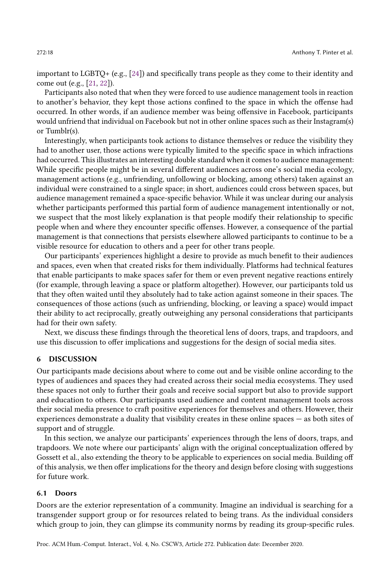important to LGBTQ+ (e.g., [\[24\]](#page-24-8)) and specifically trans people as they come to their identity and come out (e.g., [\[21,](#page-24-9) [22\]](#page-24-19)).

Participants also noted that when they were forced to use audience management tools in reaction to another's behavior, they kept those actions confined to the space in which the offense had occurred. In other words, if an audience member was being offensive in Facebook, participants would unfriend that individual on Facebook but not in other online spaces such as their Instagram(s) or Tumblr(s).

Interestingly, when participants took actions to distance themselves or reduce the visibility they had to another user, those actions were typically limited to the specific space in which infractions had occurred. This illustrates an interesting double standard when it comes to audience management: While specific people might be in several different audiences across one's social media ecology, management actions (e.g., unfriending, unfollowing or blocking, among others) taken against an individual were constrained to a single space; in short, audiences could cross between spaces, but audience management remained a space-specific behavior. While it was unclear during our analysis whether participants performed this partial form of audience management intentionally or not, we suspect that the most likely explanation is that people modify their relationship to specific people when and where they encounter specific offenses. However, a consequence of the partial management is that connections that persists elsewhere allowed participants to continue to be a visible resource for education to others and a peer for other trans people.

Our participants' experiences highlight a desire to provide as much benefit to their audiences and spaces, even when that created risks for them individually. Platforms had technical features that enable participants to make spaces safer for them or even prevent negative reactions entirely (for example, through leaving a space or platform altogether). However, our participants told us that they often waited until they absolutely had to take action against someone in their spaces. The consequences of those actions (such as unfriending, blocking, or leaving a space) would impact their ability to act reciprocally, greatly outweighing any personal considerations that participants had for their own safety.

Next, we discuss these findings through the theoretical lens of doors, traps, and trapdoors, and use this discussion to offer implications and suggestions for the design of social media sites.

#### 6 DISCUSSION

Our participants made decisions about where to come out and be visible online according to the types of audiences and spaces they had created across their social media ecosystems. They used these spaces not only to further their goals and receive social support but also to provide support and education to others. Our participants used audience and content management tools across their social media presence to craft positive experiences for themselves and others. However, their experiences demonstrate a duality that visibility creates in these online spaces — as both sites of support and of struggle.

In this section, we analyze our participants' experiences through the lens of doors, traps, and trapdoors. We note where our participants' align with the original conceptualization offered by Gossett et al., also extending the theory to be applicable to experiences on social media. Building off of this analysis, we then offer implications for the theory and design before closing with suggestions for future work.

## 6.1 Doors

Doors are the exterior representation of a community. Imagine an individual is searching for a transgender support group or for resources related to being trans. As the individual considers which group to join, they can glimpse its community norms by reading its group-specific rules.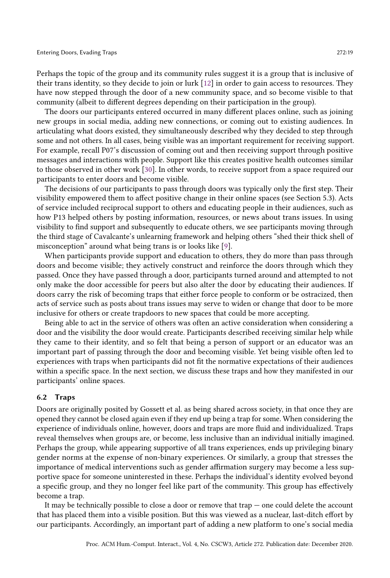Perhaps the topic of the group and its community rules suggest it is a group that is inclusive of their trans identity, so they decide to join or lurk [\[12\]](#page-24-20) in order to gain access to resources. They have now stepped through the door of a new community space, and so become visible to that community (albeit to different degrees depending on their participation in the group).

The doors our participants entered occurred in many different places online, such as joining new groups in social media, adding new connections, or coming out to existing audiences. In articulating what doors existed, they simultaneously described why they decided to step through some and not others. In all cases, being visible was an important requirement for receiving support. For example, recall P07's discussion of coming out and then receiving support through positive messages and interactions with people. Support like this creates positive health outcomes similar to those observed in other work [\[30\]](#page-25-3). In other words, to receive support from a space required our participants to enter doors and become visible.

The decisions of our participants to pass through doors was typically only the first step. Their visibility empowered them to affect positive change in their online spaces (see Section 5.3). Acts of service included reciprocal support to others and educating people in their audiences, such as how P13 helped others by posting information, resources, or news about trans issues. In using visibility to find support and subsequently to educate others, we see participants moving through the third stage of Cavalcante's unlearning framework and helping others "shed their thick shell of misconception" around what being trans is or looks like [\[9\]](#page-24-4).

When participants provide support and education to others, they do more than pass through doors and become visible; they actively construct and reinforce the doors through which they passed. Once they have passed through a door, participants turned around and attempted to not only make the door accessible for peers but also alter the door by educating their audiences. If doors carry the risk of becoming traps that either force people to conform or be ostracized, then acts of service such as posts about trans issues may serve to widen or change that door to be more inclusive for others or create trapdoors to new spaces that could be more accepting.

Being able to act in the service of others was often an active consideration when considering a door and the visibility the door would create. Participants described receiving similar help while they came to their identity, and so felt that being a person of support or an educator was an important part of passing through the door and becoming visible. Yet being visible often led to experiences with traps when participants did not fit the normative expectations of their audiences within a specific space. In the next section, we discuss these traps and how they manifested in our participants' online spaces.

#### 6.2 Traps

Doors are originally posited by Gossett et al. as being shared across society, in that once they are opened they cannot be closed again even if they end up being a trap for some. When considering the experience of individuals online, however, doors and traps are more fluid and individualized. Traps reveal themselves when groups are, or become, less inclusive than an individual initially imagined. Perhaps the group, while appearing supportive of all trans experiences, ends up privileging binary gender norms at the expense of non-binary experiences. Or similarly, a group that stresses the importance of medical interventions such as gender affirmation surgery may become a less supportive space for someone uninterested in these. Perhaps the individual's identity evolved beyond a specific group, and they no longer feel like part of the community. This group has effectively become a trap.

It may be technically possible to close a door or remove that  $trap$  — one could delete the account that has placed them into a visible position. But this was viewed as a nuclear, last-ditch effort by our participants. Accordingly, an important part of adding a new platform to one's social media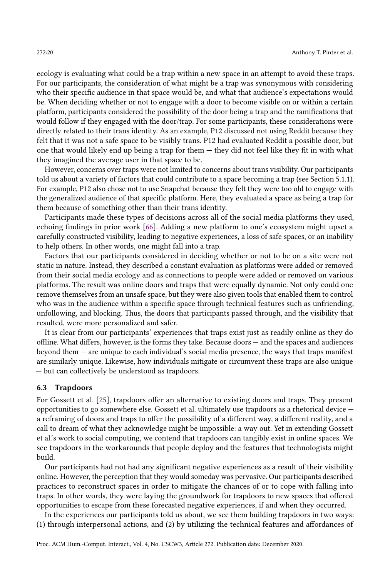ecology is evaluating what could be a trap within a new space in an attempt to avoid these traps. For our participants, the consideration of what might be a trap was synonymous with considering who their specific audience in that space would be, and what that audience's expectations would be. When deciding whether or not to engage with a door to become visible on or within a certain platform, participants considered the possibility of the door being a trap and the ramifications that would follow if they engaged with the door/trap. For some participants, these considerations were directly related to their trans identity. As an example, P12 discussed not using Reddit because they felt that it was not a safe space to be visibly trans. P12 had evaluated Reddit a possible door, but one that would likely end up being a trap for them — they did not feel like they fit in with what they imagined the average user in that space to be.

However, concerns over traps were not limited to concerns about trans visibility. Our participants told us about a variety of factors that could contribute to a space becoming a trap (see Section 5.1.1). For example, P12 also chose not to use Snapchat because they felt they were too old to engage with the generalized audience of that specific platform. Here, they evaluated a space as being a trap for them because of something other than their trans identity.

Participants made these types of decisions across all of the social media platforms they used, echoing findings in prior work [\[66\]](#page-26-12). Adding a new platform to one's ecosystem might upset a carefully constructed visibility, leading to negative experiences, a loss of safe spaces, or an inability to help others. In other words, one might fall into a trap.

Factors that our participants considered in deciding whether or not to be on a site were not static in nature. Instead, they described a constant evaluation as platforms were added or removed from their social media ecology and as connections to people were added or removed on various platforms. The result was online doors and traps that were equally dynamic. Not only could one remove themselves from an unsafe space, but they were also given tools that enabled them to control who was in the audience within a specific space through technical features such as unfriending, unfollowing, and blocking. Thus, the doors that participants passed through, and the visibility that resulted, were more personalized and safer.

It is clear from our participants' experiences that traps exist just as readily online as they do offline. What differs, however, is the forms they take. Because doors — and the spaces and audiences beyond them — are unique to each individual's social media presence, the ways that traps manifest are similarly unique. Likewise, how individuals mitigate or circumvent these traps are also unique — but can collectively be understood as trapdoors.

#### 6.3 Trapdoors

For Gossett et al. [\[25\]](#page-24-1), trapdoors offer an alternative to existing doors and traps. They present opportunities to go somewhere else. Gossett et al. ultimately use trapdoors as a rhetorical device a reframing of doors and traps to offer the possibility of a different way, a different reality, and a call to dream of what they acknowledge might be impossible: a way out. Yet in extending Gossett et al.'s work to social computing, we contend that trapdoors can tangibly exist in online spaces. We see trapdoors in the workarounds that people deploy and the features that technologists might build.

Our participants had not had any significant negative experiences as a result of their visibility online. However, the perception that they would someday was pervasive. Our participants described practices to reconstruct spaces in order to mitigate the chances of or to cope with falling into traps. In other words, they were laying the groundwork for trapdoors to new spaces that offered opportunities to escape from these forecasted negative experiences, if and when they occurred.

In the experiences our participants told us about, we see them building trapdoors in two ways: (1) through interpersonal actions, and (2) by utilizing the technical features and affordances of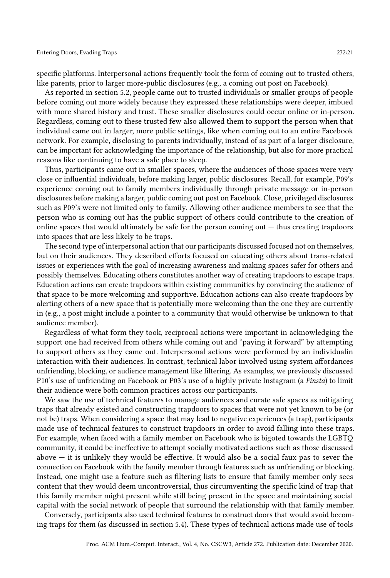specific platforms. Interpersonal actions frequently took the form of coming out to trusted others, like parents, prior to larger more-public disclosures (e.g., a coming out post on Facebook).

As reported in section 5.2, people came out to trusted individuals or smaller groups of people before coming out more widely because they expressed these relationships were deeper, imbued with more shared history and trust. These smaller disclosures could occur online or in-person. Regardless, coming out to these trusted few also allowed them to support the person when that individual came out in larger, more public settings, like when coming out to an entire Facebook network. For example, disclosing to parents individually, instead of as part of a larger disclosure, can be important for acknowledging the importance of the relationship, but also for more practical reasons like continuing to have a safe place to sleep.

Thus, participants came out in smaller spaces, where the audiences of those spaces were very close or influential individuals, before making larger, public disclosures. Recall, for example, P09's experience coming out to family members individually through private message or in-person disclosures before making a larger, public coming out post on Facebook. Close, privileged disclosures such as P09's were not limited only to family. Allowing other audience members to see that the person who is coming out has the public support of others could contribute to the creation of online spaces that would ultimately be safe for the person coming out  $-$  thus creating trapdoors into spaces that are less likely to be traps.

The second type of interpersonal action that our participants discussed focused not on themselves, but on their audiences. They described efforts focused on educating others about trans-related issues or experiences with the goal of increasing awareness and making spaces safer for others and possibly themselves. Educating others constitutes another way of creating trapdoors to escape traps. Education actions can create trapdoors within existing communities by convincing the audience of that space to be more welcoming and supportive. Education actions can also create trapdoors by alerting others of a new space that is potentially more welcoming than the one they are currently in (e.g., a post might include a pointer to a community that would otherwise be unknown to that audience member).

Regardless of what form they took, reciprocal actions were important in acknowledging the support one had received from others while coming out and "paying it forward" by attempting to support others as they came out. Interpersonal actions were performed by an individualin interaction with their audiences. In contrast, technical labor involved using system affordances unfriending, blocking, or audience management like filtering. As examples, we previously discussed P10's use of unfriending on Facebook or P03's use of a highly private Instagram (a Finsta) to limit their audience were both common practices across our participants.

We saw the use of technical features to manage audiences and curate safe spaces as mitigating traps that already existed and constructing trapdoors to spaces that were not yet known to be (or not be) traps. When considering a space that may lead to negative experiences (a trap), participants made use of technical features to construct trapdoors in order to avoid falling into these traps. For example, when faced with a family member on Facebook who is bigoted towards the LGBTQ community, it could be ineffective to attempt socially motivated actions such as those discussed above  $-$  it is unlikely they would be effective. It would also be a social faux pas to sever the connection on Facebook with the family member through features such as unfriending or blocking. Instead, one might use a feature such as filtering lists to ensure that family member only sees content that they would deem uncontroversial, thus circumventing the specific kind of trap that this family member might present while still being present in the space and maintaining social capital with the social network of people that surround the relationship with that family member.

Conversely, participants also used technical features to construct doors that would avoid becoming traps for them (as discussed in section 5.4). These types of technical actions made use of tools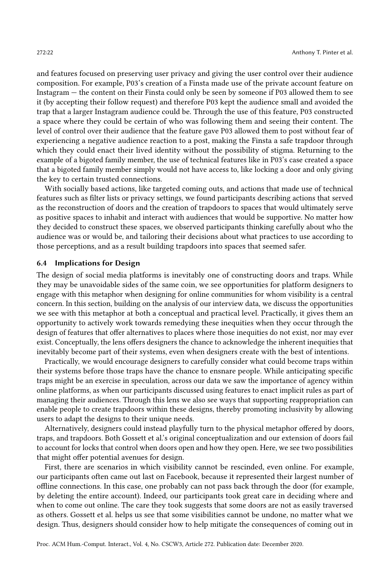and features focused on preserving user privacy and giving the user control over their audience composition. For example, P03's creation of a Finsta made use of the private account feature on Instagram — the content on their Finsta could only be seen by someone if P03 allowed them to see it (by accepting their follow request) and therefore P03 kept the audience small and avoided the trap that a larger Instagram audience could be. Through the use of this feature, P03 constructed a space where they could be certain of who was following them and seeing their content. The level of control over their audience that the feature gave P03 allowed them to post without fear of experiencing a negative audience reaction to a post, making the Finsta a safe trapdoor through which they could enact their lived identity without the possibility of stigma. Returning to the example of a bigoted family member, the use of technical features like in P03's case created a space that a bigoted family member simply would not have access to, like locking a door and only giving the key to certain trusted connections.

With socially based actions, like targeted coming outs, and actions that made use of technical features such as filter lists or privacy settings, we found participants describing actions that served as the reconstruction of doors and the creation of trapdoors to spaces that would ultimately serve as positive spaces to inhabit and interact with audiences that would be supportive. No matter how they decided to construct these spaces, we observed participants thinking carefully about who the audience was or would be, and tailoring their decisions about what practices to use according to those perceptions, and as a result building trapdoors into spaces that seemed safer.

#### 6.4 Implications for Design

The design of social media platforms is inevitably one of constructing doors and traps. While they may be unavoidable sides of the same coin, we see opportunities for platform designers to engage with this metaphor when designing for online communities for whom visibility is a central concern. In this section, building on the analysis of our interview data, we discuss the opportunities we see with this metaphor at both a conceptual and practical level. Practically, it gives them an opportunity to actively work towards remedying these inequities when they occur through the design of features that offer alternatives to places where those inequities do not exist, nor may ever exist. Conceptually, the lens offers designers the chance to acknowledge the inherent inequities that inevitably become part of their systems, even when designers create with the best of intentions.

Practically, we would encourage designers to carefully consider what could become traps within their systems before those traps have the chance to ensnare people. While anticipating specific traps might be an exercise in speculation, across our data we saw the importance of agency within online platforms, as when our participants discussed using features to enact implicit rules as part of managing their audiences. Through this lens we also see ways that supporting reappropriation can enable people to create trapdoors within these designs, thereby promoting inclusivity by allowing users to adapt the designs to their unique needs.

Alternatively, designers could instead playfully turn to the physical metaphor offered by doors, traps, and trapdoors. Both Gossett et al.'s original conceptualization and our extension of doors fail to account for locks that control when doors open and how they open. Here, we see two possibilities that might offer potential avenues for design.

First, there are scenarios in which visibility cannot be rescinded, even online. For example, our participants often came out last on Facebook, because it represented their largest number of offline connections. In this case, one probably can not pass back through the door (for example, by deleting the entire account). Indeed, our participants took great care in deciding where and when to come out online. The care they took suggests that some doors are not as easily traversed as others. Gossett et al. helps us see that some visibilities cannot be undone, no matter what we design. Thus, designers should consider how to help mitigate the consequences of coming out in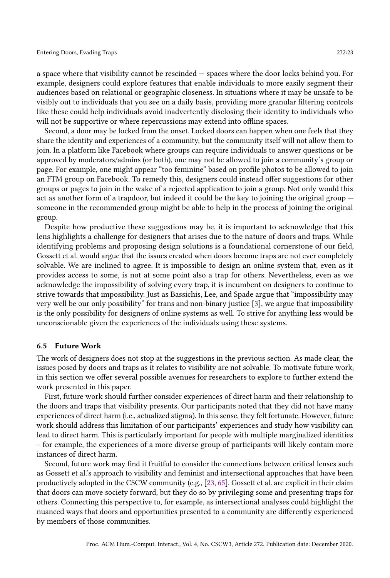a space where that visibility cannot be rescinded — spaces where the door locks behind you. For example, designers could explore features that enable individuals to more easily segment their audiences based on relational or geographic closeness. In situations where it may be unsafe to be visibly out to individuals that you see on a daily basis, providing more granular filtering controls like these could help individuals avoid inadvertently disclosing their identity to individuals who will not be supportive or where repercussions may extend into offline spaces.

Second, a door may be locked from the onset. Locked doors can happen when one feels that they share the identity and experiences of a community, but the community itself will not allow them to join. In a platform like Facebook where groups can require individuals to answer questions or be approved by moderators/admins (or both), one may not be allowed to join a community's group or page. For example, one might appear "too feminine" based on profile photos to be allowed to join an FTM group on Facebook. To remedy this, designers could instead offer suggestions for other groups or pages to join in the wake of a rejected application to join a group. Not only would this act as another form of a trapdoor, but indeed it could be the key to joining the original group someone in the recommended group might be able to help in the process of joining the original group.

Despite how productive these suggestions may be, it is important to acknowledge that this lens highlights a challenge for designers that arises due to the nature of doors and traps. While identifying problems and proposing design solutions is a foundational cornerstone of our field, Gossett et al. would argue that the issues created when doors become traps are not ever completely solvable. We are inclined to agree. It is impossible to design an online system that, even as it provides access to some, is not at some point also a trap for others. Nevertheless, even as we acknowledge the impossibility of solving every trap, it is incumbent on designers to continue to strive towards that impossibility. Just as Bassichis, Lee, and Spade argue that "impossibility may very well be our only possibility" for trans and non-binary justice [\[3\]](#page-23-3), we argue that impossibility is the only possibility for designers of online systems as well. To strive for anything less would be unconscionable given the experiences of the individuals using these systems.

#### 6.5 Future Work

The work of designers does not stop at the suggestions in the previous section. As made clear, the issues posed by doors and traps as it relates to visibility are not solvable. To motivate future work, in this section we offer several possible avenues for researchers to explore to further extend the work presented in this paper.

First, future work should further consider experiences of direct harm and their relationship to the doors and traps that visibility presents. Our participants noted that they did not have many experiences of direct harm (i.e., actualized stigma). In this sense, they felt fortunate. However, future work should address this limitation of our participants' experiences and study how visibility can lead to direct harm. This is particularly important for people with multiple marginalized identities – for example, the experiences of a more diverse group of participants will likely contain more instances of direct harm.

Second, future work may find it fruitful to consider the connections between critical lenses such as Gossett et al.'s approach to visibility and feminist and intersectional approaches that have been productively adopted in the CSCW community (e.g., [\[23,](#page-24-21) [65\]](#page-26-17). Gossett et al. are explicit in their claim that doors can move society forward, but they do so by privileging some and presenting traps for others. Connecting this perspective to, for example, as intersectional analyses could highlight the nuanced ways that doors and opportunities presented to a community are differently experienced by members of those communities.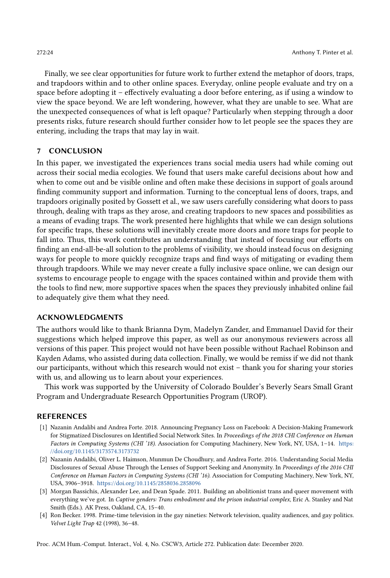Finally, we see clear opportunities for future work to further extend the metaphor of doors, traps, and trapdoors within and to other online spaces. Everyday, online people evaluate and try on a space before adopting it – effectively evaluating a door before entering, as if using a window to view the space beyond. We are left wondering, however, what they are unable to see. What are the unexpected consequences of what is left opaque? Particularly when stepping through a door presents risks, future research should further consider how to let people see the spaces they are entering, including the traps that may lay in wait.

# 7 CONCLUSION

In this paper, we investigated the experiences trans social media users had while coming out across their social media ecologies. We found that users make careful decisions about how and when to come out and be visible online and often make these decisions in support of goals around finding community support and information. Turning to the conceptual lens of doors, traps, and trapdoors originally posited by Gossett et al., we saw users carefully considering what doors to pass through, dealing with traps as they arose, and creating trapdoors to new spaces and possibilities as a means of evading traps. The work presented here highlights that while we can design solutions for specific traps, these solutions will inevitably create more doors and more traps for people to fall into. Thus, this work contributes an understanding that instead of focusing our efforts on finding an end-all-be-all solution to the problems of visibility, we should instead focus on designing ways for people to more quickly recognize traps and find ways of mitigating or evading them through trapdoors. While we may never create a fully inclusive space online, we can design our systems to encourage people to engage with the spaces contained within and provide them with the tools to find new, more supportive spaces when the spaces they previously inhabited online fail to adequately give them what they need.

# ACKNOWLEDGMENTS

The authors would like to thank Brianna Dym, Madelyn Zander, and Emmanuel David for their suggestions which helped improve this paper, as well as our anonymous reviewers across all versions of this paper. This project would not have been possible without Rachael Robinson and Kayden Adams, who assisted during data collection. Finally, we would be remiss if we did not thank our participants, without which this research would not exist – thank you for sharing your stories with us, and allowing us to learn about your experiences.

This work was supported by the University of Colorado Boulder's Beverly Sears Small Grant Program and Undergraduate Research Opportunities Program (UROP).

#### REFERENCES

- <span id="page-23-1"></span>[1] Nazanin Andalibi and Andrea Forte. 2018. Announcing Pregnancy Loss on Facebook: A Decision-Making Framework for Stigmatized Disclosures on Identified Social Network Sites. In Proceedings of the 2018 CHI Conference on Human Factors in Computing Systems (CHI '18). Association for Computing Machinery, New York, NY, USA, 1–14. [https:](https://doi.org/10.1145/3173574.3173732) [//doi.org/10.1145/3173574.3173732](https://doi.org/10.1145/3173574.3173732)
- <span id="page-23-2"></span>[2] Nazanin Andalibi, Oliver L. Haimson, Munmun De Choudhury, and Andrea Forte. 2016. Understanding Social Media Disclosures of Sexual Abuse Through the Lenses of Support Seeking and Anonymity. In Proceedings of the 2016 CHI Conference on Human Factors in Computing Systems (CHI '16). Association for Computing Machinery, New York, NY, USA, 3906–3918. <https://doi.org/10.1145/2858036.2858096>
- <span id="page-23-3"></span>[3] Morgan Bassichis, Alexander Lee, and Dean Spade. 2011. Building an abolitionist trans and queer movement with everything we've got. In Captive genders: Trans embodiment and the prison industrial complex, Eric A. Stanley and Nat Smith (Eds.). AK Press, Oakland, CA, 15–40.
- <span id="page-23-0"></span>[4] Ron Becker. 1998. Prime-time television in the gay nineties: Network television, quality audiences, and gay politics. Velvet Light Trap 42 (1998), 36–48.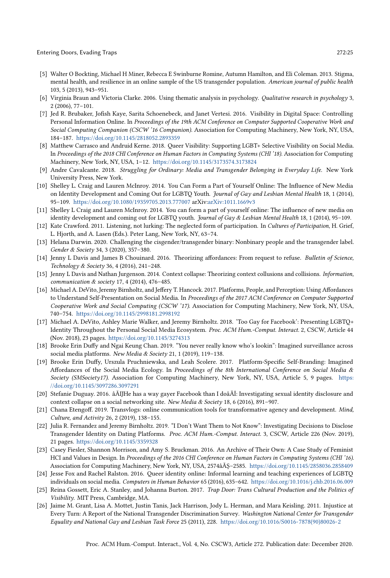- <span id="page-24-3"></span>[5] Walter O Bockting, Michael H Miner, Rebecca E Swinburne Romine, Autumn Hamilton, and Eli Coleman. 2013. Stigma, mental health, and resilience in an online sample of the US transgender population. American journal of public health 103, 5 (2013), 943–951.
- <span id="page-24-17"></span>[6] Virginia Braun and Victoria Clarke. 2006. Using thematic analysis in psychology. Qualitative research in psychology 3, 2 (2006), 77–101.
- <span id="page-24-10"></span>[7] Jed R. Brubaker, Jofish Kaye, Sarita Schoenebeck, and Janet Vertesi. 2016. Visibility in Digital Space: Controlling Personal Information Online. In Proceedings of the 19th ACM Conference on Computer Supported Cooperative Work and Social Computing Companion (CSCW '16 Companion). Association for Computing Machinery, New York, NY, USA, 184–187. <https://doi.org/10.1145/2818052.2893359>
- <span id="page-24-2"></span>[8] Matthew Carrasco and Andruid Kerne. 2018. Queer Visibility: Supporting LGBT+ Selective Visibility on Social Media. In Proceedings of the 2018 CHI Conference on Human Factors in Computing Systems (CHI '18). Association for Computing Machinery, New York, NY, USA, 1–12. <https://doi.org/10.1145/3173574.3173824>
- <span id="page-24-4"></span>[9] Andre Cavalcante. 2018. Struggling for Ordinary: Media and Transgender Belonging in Everyday Life. New York University Press, New York.
- <span id="page-24-0"></span>[10] Shelley L. Craig and Lauren McInroy. 2014. You Can Form a Part of Yourself Online: The Influence of New Media on Identity Development and Coming Out for LGBTQ Youth. Journal of Gay and Lesbian Mental Health 18, 1 (2014), 95–109. <https://doi.org/10.1080/19359705.2013.777007> arXiv[:arXiv:1011.1669v3](https://arxiv.org/abs/arXiv:1011.1669v3)
- <span id="page-24-7"></span>[11] Shelley L Craig and Lauren McInroy. 2014. You can form a part of yourself online: The influence of new media on identity development and coming out for LGBTQ youth. Journal of Gay & Lesbian Mental Health 18, 1 (2014), 95-109.
- <span id="page-24-20"></span>[12] Kate Crawford. 2011. Listening, not lurking: The neglected form of participation. In Cultures of Participation, H. Grief, L. Hjorth, and A. Lasen (Eds.). Peter Lang, New York, NY, 63–74.
- <span id="page-24-6"></span>[13] Helana Darwin. 2020. Challenging the cisgender/transgender binary: Nonbinary people and the transgender label. Gender & Society 34, 3 (2020), 357–380.
- <span id="page-24-13"></span>[14] Jenny L Davis and James B Chouinard. 2016. Theorizing affordances: From request to refuse. Bulletin of Science, Technology & Society 36, 4 (2016), 241–248.
- <span id="page-24-11"></span>[15] Jenny L Davis and Nathan Jurgenson. 2014. Context collapse: Theorizing context collusions and collisions. Information, communication & society 17, 4 (2014), 476–485.
- <span id="page-24-12"></span>[16] Michael A. DeVito, Jeremy Birnholtz, and Jeffery T. Hancock. 2017. Platforms, People, and Perception: Using Affordances to Understand Self-Presentation on Social Media. In Proceedings of the 2017 ACM Conference on Computer Supported Cooperative Work and Social Computing (CSCW '17). Association for Computing Machinery, New York, NY, USA, 740–754. <https://doi.org/10.1145/2998181.2998192>
- <span id="page-24-16"></span>[17] Michael A. DeVito, Ashley Marie Walker, and Jeremy Birnholtz. 2018. 'Too Gay for Facebook': Presenting LGBTQ+ Identity Throughout the Personal Social Media Ecosystem. Proc. ACM Hum.-Comput. Interact. 2, CSCW, Article 44 (Nov. 2018), 23 pages. <https://doi.org/10.1145/3274313>
- <span id="page-24-15"></span>[18] Brooke Erin Duffy and Ngai Keung Chan. 2019. "You never really know who's lookin": Imagined surveillance across social media platforms. New Media & Society 21, 1 (2019), 119–138.
- <span id="page-24-14"></span>[19] Brooke Erin Duffy, Urszula Pruchniewska, and Leah Scolere. 2017. Platform-Specific Self-Branding: Imagined Affordances of the Social Media Ecology. In Proceedings of the 8th International Conference on Social Media & Society (SMSociety17). Association for Computing Machinery, New York, NY, USA, Article 5, 9 pages. [https:](https://doi.org/10.1145/3097286.3097291) [//doi.org/10.1145/3097286.3097291](https://doi.org/10.1145/3097286.3097291)
- <span id="page-24-18"></span>[20] Stefanie Duguay. 2016. âĂIJHe has a way gayer Facebook than I doâĂİ: Investigating sexual identity disclosure and context collapse on a social networking site. New Media & Society 18, 6 (2016), 891–907.
- <span id="page-24-9"></span>[21] Chana Etengoff. 2019. Transvlogs: online communication tools for transformative agency and development. Mind, Culture, and Activity 26, 2 (2019), 138–155.
- <span id="page-24-19"></span>[22] Julia R. Fernandez and Jeremy Birnholtz. 2019. "I Don't Want Them to Not Know": Investigating Decisions to Disclose Transgender Identity on Dating Platforms. Proc. ACM Hum.-Comput. Interact. 3, CSCW, Article 226 (Nov. 2019), 21 pages. <https://doi.org/10.1145/3359328>
- <span id="page-24-21"></span>[23] Casey Fiesler, Shannon Morrison, and Amy S. Bruckman. 2016. An Archive of Their Own: A Case Study of Feminist HCI and Values in Design. In Proceedings of the 2016 CHI Conference on Human Factors in Computing Systems (CHI '16). Association for Computing Machinery, New York, NY, USA, 2574âĂŞ–2585. <https://doi.org/10.1145/2858036.2858409>
- <span id="page-24-8"></span>[24] Jesse Fox and Rachel Ralston. 2016. Queer identity online: Informal learning and teaching experiences of LGBTQ individuals on social media. Computers in Human Behavior 65 (2016), 635–642. <https://doi.org/10.1016/j.chb.2016.06.009>
- <span id="page-24-1"></span>[25] Reina Gossett, Eric A. Stanley, and Johanna Burton. 2017. Trap Door: Trans Cultural Production and the Politics of Visibility. MIT Press, Cambridge, MA.
- <span id="page-24-5"></span>[26] Jaime M. Grant, Lisa A. Mottet, Justin Tanis, Jack Harrison, Jody L. Herman, and Mara Keisling. 2011. Injustice at Every Turn: A Report of the National Transgender Discrimination Survey. Washington National Center for Transgender Equality and National Gay and Lesbian Task Force 25 (2011), 228. [https://doi.org/10.1016/S0016-7878\(90\)80026-2](https://doi.org/10.1016/S0016-7878(90)80026-2)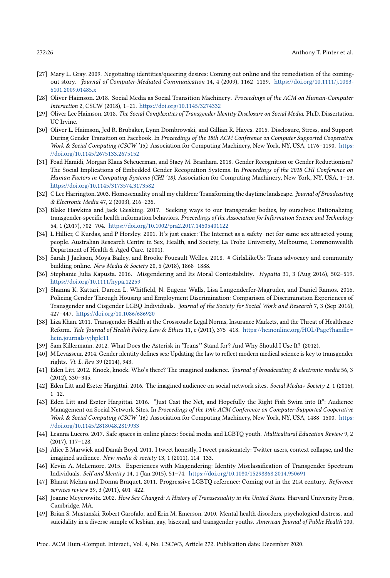- <span id="page-25-15"></span>[27] Mary L. Gray. 2009. Negotiating identities/queering desires: Coming out online and the remediation of the comingout story. Journal of Computer-Mediated Communication 14, 4 (2009), 1162-1189. [https://doi.org/10.1111/j.1083-](https://doi.org/10.1111/j.1083-6101.2009.01485.x) [6101.2009.01485.x](https://doi.org/10.1111/j.1083-6101.2009.01485.x)
- <span id="page-25-2"></span>[28] Oliver Haimson. 2018. Social Media as Social Transition Machinery. Proceedings of the ACM on Human-Computer Interaction 2, CSCW (2018), 1–21. <https://doi.org/10.1145/3274332>
- <span id="page-25-22"></span>[29] Oliver Lee Haimson. 2018. The Social Complexities of Transgender Identity Disclosure on Social Media. Ph.D. Dissertation. UC Irvine.
- <span id="page-25-3"></span>[30] Oliver L. Haimson, Jed R. Brubaker, Lynn Dombrowski, and Gillian R. Hayes. 2015. Disclosure, Stress, and Support During Gender Transition on Facebook. In Proceedings of the 18th ACM Conference on Computer Supported Cooperative Work & Social Computing (CSCW '15). Association for Computing Machinery, New York, NY, USA, 1176-1190. [https:](https://doi.org/10.1145/2675133.2675152) [//doi.org/10.1145/2675133.2675152](https://doi.org/10.1145/2675133.2675152)
- <span id="page-25-14"></span>[31] Foad Hamidi, Morgan Klaus Scheuerman, and Stacy M. Branham. 2018. Gender Recognition or Gender Reductionism? The Social Implications of Embedded Gender Recognition Systems. In Proceedings of the 2018 CHI Conference on Human Factors in Computing Systems (CHI '18). Association for Computing Machinery, New York, NY, USA, 1–13. <https://doi.org/10.1145/3173574.3173582>
- <span id="page-25-5"></span>[32] C Lee Harrington. 2003. Homosexuality on all my children: Transforming the daytime landscape. Journal of Broadcasting & Electronic Media 47, 2 (2003), 216–235.
- <span id="page-25-20"></span>[33] Blake Hawkins and Jack Giesking. 2017. Seeking ways to our transgender bodies, by ourselves: Rationalizing transgender-specific health information behaviors. Proceedings of the Association for Information Science and Technology 54, 1 (2017), 702–704. <https://doi.org/10.1002/pra2.2017.14505401122>
- <span id="page-25-12"></span>[34] L Hillier, C Kurdas, and P Horsley. 2001. It's just easier: The Internet as a safety–net for same sex attracted young people. Australian Research Centre in Sex, Health, and Society, La Trobe University, Melbourne, Commonwealth Department of Health & Aged Care. (2001).
- <span id="page-25-13"></span>[35] Sarah J Jackson, Moya Bailey, and Brooke Foucault Welles. 2018. # GirlsLikeUs: Trans advocacy and community building online. New Media & Society 20, 5 (2018), 1868–1888.
- <span id="page-25-7"></span>[36] Stephanie Julia Kapusta. 2016. Misgendering and Its Moral Contestability. Hypatia 31, 3 (Aug 2016), 502–519. <https://doi.org/10.1111/hypa.12259>
- <span id="page-25-6"></span>[37] Shanna K. Kattari, Darren L. Whitfield, N. Eugene Walls, Lisa Langenderfer-Magruder, and Daniel Ramos. 2016. Policing Gender Through Housing and Employment Discrimination: Comparison of Discrimination Experiences of Transgender and Cisgender LGBQ Individuals. Journal of the Society for Social Work and Research 7, 3 (Sep 2016), 427–447. <https://doi.org/10.1086/686920>
- <span id="page-25-9"></span>[38] Liza Khan. 2011. Transgender Health at the Crossroads: Legal Norms, Insurance Markets, and the Threat of Healthcare Reform. Yale Journal of Health Policy, Law & Ethics 11, c (2011), 375–418. [https://heinonline.org/HOL/Page?handle=](https://heinonline.org/HOL/Page?handle=hein.journals/yjhple11) [hein.journals/yjhple11](https://heinonline.org/HOL/Page?handle=hein.journals/yjhple11)
- <span id="page-25-11"></span>[39] Sam Killermann. 2012. What Does the Asterisk in 'Trans\*' Stand for? And Why Should I Use It? (2012).
- <span id="page-25-10"></span>[40] M Levasseur. 2014. Gender identity defines sex: Updating the law to reflect modern medical science is key to transgender rights. Vt. L. Rev. 39 (2014), 943.
- <span id="page-25-17"></span>[41] Eden Litt. 2012. Knock, knock. Who's there? The imagined audience. Journal of broadcasting & electronic media 56, 3 (2012), 330–345.
- <span id="page-25-18"></span>[42] Eden Litt and Eszter Hargittai. 2016. The imagined audience on social network sites. Social Media+ Society 2, 1 (2016), 1–12.
- <span id="page-25-19"></span>[43] Eden Litt and Eszter Hargittai. 2016. "Just Cast the Net, and Hopefully the Right Fish Swim into It": Audience Management on Social Network Sites. In Proceedings of the 19th ACM Conference on Computer-Supported Cooperative Work & Social Computing (CSCW '16). Association for Computing Machinery, New York, NY, USA, 1488-1500. [https:](https://doi.org/10.1145/2818048.2819933) [//doi.org/10.1145/2818048.2819933](https://doi.org/10.1145/2818048.2819933)
- <span id="page-25-0"></span>[44] Leanna Lucero. 2017. Safe spaces in online places: Social media and LGBTQ youth. Multicultural Education Review 9, 2 (2017), 117–128.
- <span id="page-25-1"></span>[45] Alice E Marwick and Danah Boyd. 2011. I tweet honestly, I tweet passionately: Twitter users, context collapse, and the imagined audience. New media & society 13, 1 (2011), 114–133.
- <span id="page-25-8"></span>[46] Kevin A. McLemore. 2015. Experiences with Misgendering: Identity Misclassification of Transgender Spectrum Individuals. Self and Identity 14, 1 (Jan 2015), 51–74. <https://doi.org/10.1080/15298868.2014.950691>
- <span id="page-25-21"></span>[47] Bharat Mehra and Donna Braquet. 2011. Progressive LGBTQ reference: Coming out in the 21st century. Reference services review 39, 3 (2011), 401–422.
- <span id="page-25-4"></span>[48] Joanne Meyerowitz. 2002. How Sex Changed: A History of Transsexuality in the United States. Harvard University Press, Cambridge, MA.
- <span id="page-25-16"></span>[49] Brian S. Mustanski, Robert Garofalo, and Erin M. Emerson. 2010. Mental health disorders, psychological distress, and suicidality in a diverse sample of lesbian, gay, bisexual, and transgender youths. American Journal of Public Health 100,

Proc. ACM Hum.-Comput. Interact., Vol. 4, No. CSCW3, Article 272. Publication date: December 2020.